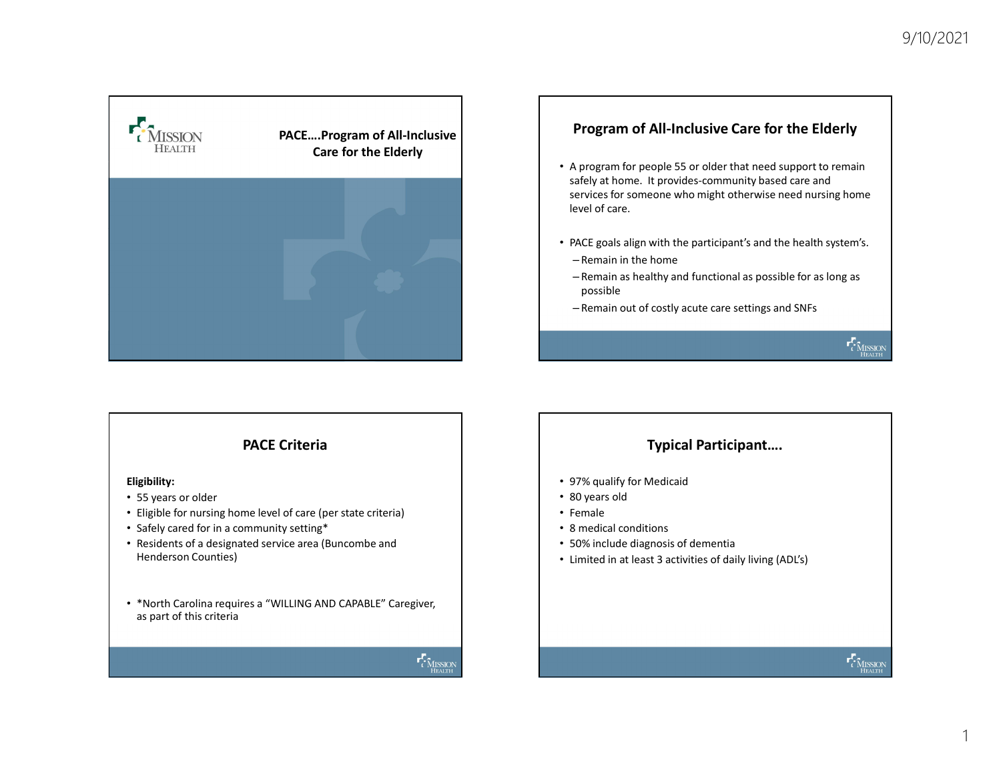

# Program of All-Inclusive Care for the Elderly

- A program for people 55 or older that need support to remain safely at home. It provides-community based care and services for someone who might otherwise need nursing home level of care.
- PACE goals align with the participant's and the health system's.
	- Remain in the home
- Remain as healthy and functional as possible for as long as possible • PACE goals align with the participant's and the health system's.<br>
– Remain in the home<br>
– Remain in the home<br>
– Remain out of costly acute care settings and SNFs<br>
– Semain out of costly acute care settings and SNFs<br>
– Fe
- Remain out of costly acute care settings and SNFs

# PACE Criteria

#### Eligibility:

- 55 years or older
- Eligible for nursing home level of care (per state criteria)
- Safely cared for in a community setting\*
- Residents of a designated service area (Buncombe and Henderson Counties)

• \*North Carolina requires a "WILLING AND CAPABLE" Caregiver, as part of this criteria



# Typical Participant….

- 97% qualify for Medicaid
- 80 years old
- Female
- 
- 50% include diagnosis of dementia
- Limited in at least 3 activities of daily living (ADL's)

1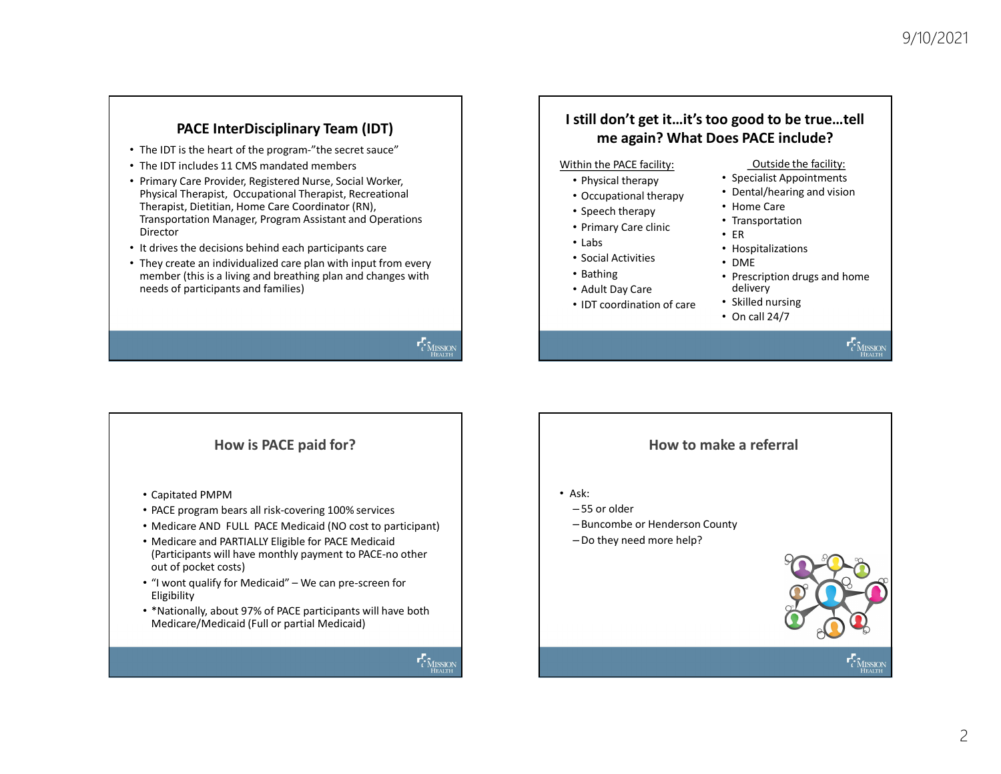- 
- 
- PACE InterDisciplinary Team (IDT)<br>
 The IDT is the heart of the program-"the secret sauce"<br>
 Pinary Care Provider, Registered Nurse, Social Worker,<br>
 Physical Therapist, Occupational Therapist, Recreational<br>
 Physical • Primary Care Provider, Registered Nurse, Social Worker, Physical Therapist, Occupational Therapist, Recreational Therapist, Dietitian, Home Care Coordinator (RN), Transportation Manager, Program Assistant and Operations Director
- It drives the decisions behind each participants care
- They create an individualized care plan with input from every member (this is a living and breathing plan and changes with needs of participants and families)

# I still don't get it…it's too good to be true…tell me again? What Does PACE include?

#### Within the PACE facility:

- 
- Occupational therapy
- Speech therapy
- Primary Care clinic
- Labs
- Social Activities
- 
- Adult Day Care
- IDT coordination of care

#### Outside the facility:

- Physical therapy **•** Specialist Appointments
	- Dental/hearing and vision
	- Home Care
	- Transportation
	- ER
	- Hospitalizations
	- DME
- Bathing **•** Prescription drugs and home delivery
	- Skilled nursing
	- On call 24/7

### How is PACE paid for?

- Capitated PMPM
- PACE program bears all risk-covering 100% services
- Medicare AND FULL PACE Medicaid (NO cost to participant)
- Medicare and PARTIALLY Eligible for PACE Medicaid (Participants will have monthly payment to PACE-no other out of pocket costs) Frequence annonvolution distribution of care<br>
• The member (this is a living and breathing plan and changes with<br>
• Adult Day Care<br>
• Capitated PMPM<br>
• PACE paid for?<br>
• PACE program bears all risk-covering 100% services<br>
- Eligibility
- \*Nationally, about 97% of PACE participants will have both Medicare/Medicaid (Full or partial Medicaid)



## How to make a referral

- Ask:
	- 55 or older
	- Buncombe or Henderson County
	- –Do they need more help?



 $\mathbf{r}_i^T$  Mussion